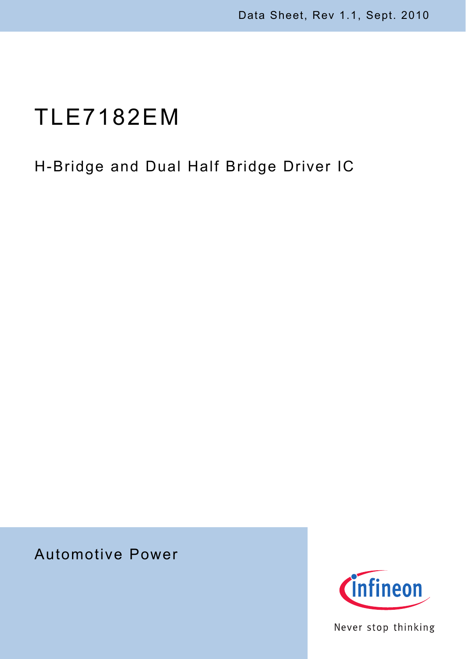# TLE7182EM

## H-Bridge and Dual Half Bridge Driver IC

## Automotive Power



Never stop thinking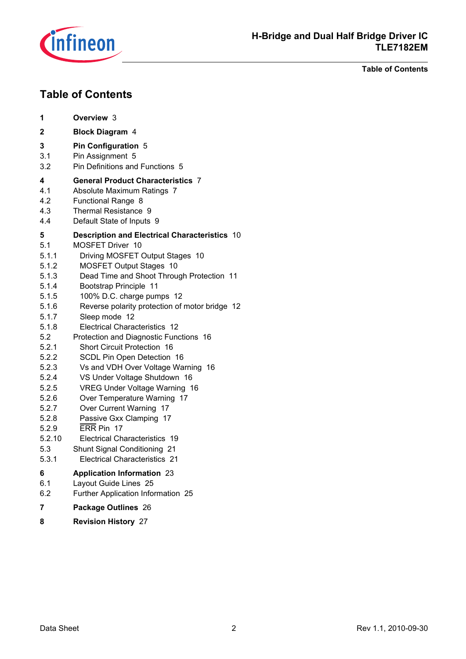

**Table of Contents**

## **Table of Contents**

| 1                                                                                                                                                                                                  | Overview 3                                                                                                                                                                                                                                                                                                                                                                                                                                                                                                                                                                                                                                                                                                                                                                             |
|----------------------------------------------------------------------------------------------------------------------------------------------------------------------------------------------------|----------------------------------------------------------------------------------------------------------------------------------------------------------------------------------------------------------------------------------------------------------------------------------------------------------------------------------------------------------------------------------------------------------------------------------------------------------------------------------------------------------------------------------------------------------------------------------------------------------------------------------------------------------------------------------------------------------------------------------------------------------------------------------------|
| 2                                                                                                                                                                                                  | <b>Block Diagram 4</b>                                                                                                                                                                                                                                                                                                                                                                                                                                                                                                                                                                                                                                                                                                                                                                 |
| 3<br>3.1<br>3.2                                                                                                                                                                                    | <b>Pin Configuration 5</b><br>Pin Assignment 5<br>Pin Definitions and Functions 5                                                                                                                                                                                                                                                                                                                                                                                                                                                                                                                                                                                                                                                                                                      |
| 4<br>4.1<br>4.2<br>4.3<br>4.4                                                                                                                                                                      | <b>General Product Characteristics 7</b><br>Absolute Maximum Ratings 7<br>Functional Range 8<br>Thermal Resistance 9<br>Default State of Inputs 9                                                                                                                                                                                                                                                                                                                                                                                                                                                                                                                                                                                                                                      |
| 5<br>5.1<br>5.1.1<br>5.1.2<br>5.1.3<br>5.1.4<br>5.1.5<br>5.1.6<br>5.1.7<br>5.1.8<br>5.2<br>5.2.1<br>5.2.2<br>5.2.3<br>5.2.4<br>5.2.5<br>5.2.6<br>5.2.7<br>5.2.8<br>5.2.9<br>5.2.10<br>5.3<br>5.3.1 | <b>Description and Electrical Characteristics 10</b><br>MOSFET Driver 10<br>Driving MOSFET Output Stages 10<br><b>MOSFET Output Stages 10</b><br>Dead Time and Shoot Through Protection 11<br>Bootstrap Principle 11<br>100% D.C. charge pumps 12<br>Reverse polarity protection of motor bridge 12<br>Sleep mode 12<br>Electrical Characteristics 12<br>Protection and Diagnostic Functions 16<br><b>Short Circuit Protection 16</b><br>SCDL Pin Open Detection 16<br>Vs and VDH Over Voltage Warning 16<br>VS Under Voltage Shutdown 16<br>VREG Under Voltage Warning 16<br>Over Temperature Warning 17<br>Over Current Warning 17<br>Passive Gxx Clamping 17<br>ERR Pin 17<br>Electrical Characteristics 19<br>Shunt Signal Conditioning 21<br><b>Electrical Characteristics 21</b> |
| 6                                                                                                                                                                                                  | <b>Application Information 23</b>                                                                                                                                                                                                                                                                                                                                                                                                                                                                                                                                                                                                                                                                                                                                                      |
| 6.1                                                                                                                                                                                                | Layout Guide Lines 25                                                                                                                                                                                                                                                                                                                                                                                                                                                                                                                                                                                                                                                                                                                                                                  |
| 6.2                                                                                                                                                                                                | Further Application Information 25                                                                                                                                                                                                                                                                                                                                                                                                                                                                                                                                                                                                                                                                                                                                                     |
| 7                                                                                                                                                                                                  | Package Outlines 26                                                                                                                                                                                                                                                                                                                                                                                                                                                                                                                                                                                                                                                                                                                                                                    |
| 8                                                                                                                                                                                                  | <b>Revision History 27</b>                                                                                                                                                                                                                                                                                                                                                                                                                                                                                                                                                                                                                                                                                                                                                             |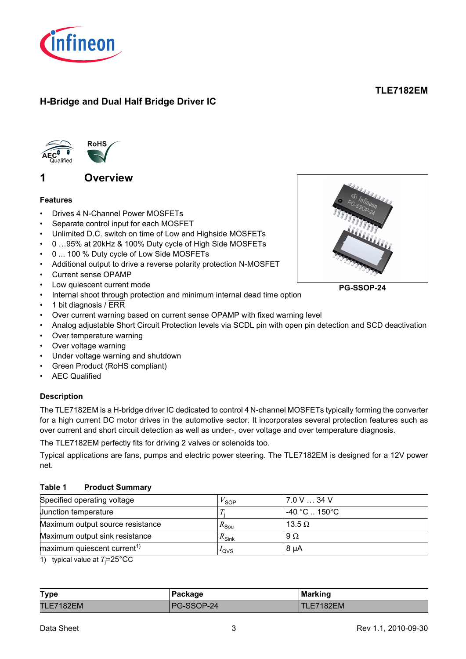

## **H-Bridge and Dual Half Bridge Driver IC**

## **TLE7182EM**



## <span id="page-2-0"></span>**1 Overview**

#### <span id="page-2-1"></span>**Features**

- Drives 4 N-Channel Power MOSFETs
- Separate control input for each MOSFET
- Unlimited D.C. switch on time of Low and Highside MOSFETs
- 0 …95% at 20kHz & 100% Duty cycle of High Side MOSFETs
- 0 ... 100 % Duty cycle of Low Side MOSFETs
- Additional output to drive a reverse polarity protection N-MOSFET
- Current sense OPAMP
- Low quiescent current mode
- Internal shoot through protection and minimum internal dead time option
- 1 bit diagnosis / ERR
- Over current warning based on current sense OPAMP with fixed warning level
- Analog adjustable Short Circuit Protection levels via SCDL pin with open pin detection and SCD deactivation
- Over temperature warning
- Over voltage warning
- Under voltage warning and shutdown
- Green Product (RoHS compliant)
- **AEC Qualified**

#### **Description**

The TLE7182EM is a H-bridge driver IC dedicated to control 4 N-channel MOSFETs typically forming the converter for a high current DC motor drives in the automotive sector. It incorporates several protection features such as over current and short circuit detection as well as under-, over voltage and over temperature diagnosis.

The TLE7182EM perfectly fits for driving 2 valves or solenoids too.

Typical applications are fans, pumps and electric power steering. The TLE7182EM is designed for a 12V power net.

#### **Table 1 Product Summary**

| Specified operating voltage             | SOP <sup>'</sup>            | 7.0 V 34 V                                       |  |
|-----------------------------------------|-----------------------------|--------------------------------------------------|--|
| Junction temperature                    |                             | $-40\,^{\circ}\text{C}$ 150 $^{\circ}\text{C}$ . |  |
| Maximum output source resistance        | $R_{\mathsf{S}\mathsf{ou}}$ | 13.5 $\Omega$                                    |  |
| Maximum output sink resistance          | $R_{\mathsf{Sink}}$         | $9\Omega$                                        |  |
| maximum quiescent current <sup>1)</sup> | $I_{\text{QVS}}$            | $8 \mu A$                                        |  |

1) typical value at  $T_{\rm j}$ =25°CC

| <b>Type</b>      | Package    | <b>Marking</b>   |
|------------------|------------|------------------|
| <b>TLE7182EM</b> | PG-SSOP-24 | <b>TLE7182EM</b> |



**PG-SSOP-24**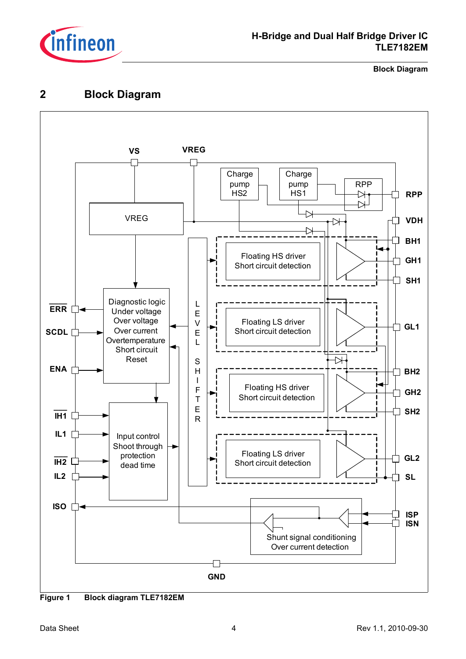

## **H-Bridge and Dual Half Bridge Driver IC TLE7182EM**

#### **Block Diagram**

## <span id="page-3-0"></span>**2 Block Diagram**



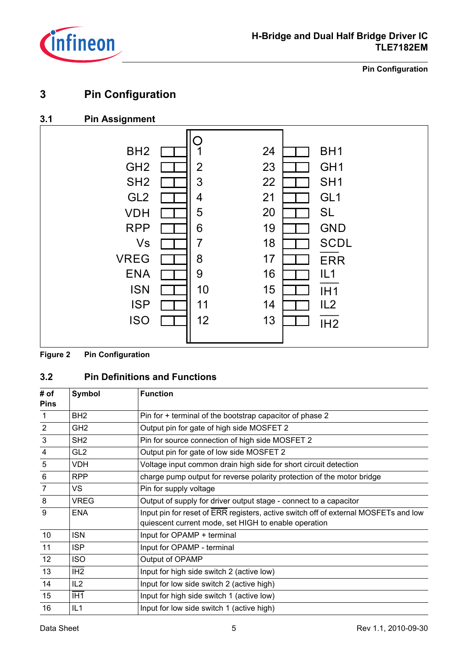

**Pin Configuration**

## <span id="page-4-0"></span>**3 Pin Configuration**

## <span id="page-4-1"></span>**3.1 Pin Assignment**



#### **Figure 2 Pin Configuration**

## <span id="page-4-2"></span>**3.2 Pin Definitions and Functions**

| # of<br><b>Pins</b> | <b>Symbol</b>   | <b>Function</b>                                                                                                                             |
|---------------------|-----------------|---------------------------------------------------------------------------------------------------------------------------------------------|
| $\mathbf{1}$        | BH <sub>2</sub> | Pin for + terminal of the bootstrap capacitor of phase 2                                                                                    |
| $\overline{2}$      | GH <sub>2</sub> | Output pin for gate of high side MOSFET 2                                                                                                   |
| $\mathbf{3}$        | SH <sub>2</sub> | Pin for source connection of high side MOSFET 2                                                                                             |
| $\overline{4}$      | GL <sub>2</sub> | Output pin for gate of low side MOSFET 2                                                                                                    |
| $\sqrt{5}$          | VDH             | Voltage input common drain high side for short circuit detection                                                                            |
| $6\phantom{1}6$     | <b>RPP</b>      | charge pump output for reverse polarity protection of the motor bridge                                                                      |
| $\overline{7}$      | <b>VS</b>       | Pin for supply voltage                                                                                                                      |
| 8                   | <b>VREG</b>     | Output of supply for driver output stage - connect to a capacitor                                                                           |
| 9                   | <b>ENA</b>      | Input pin for reset of ERR registers, active switch off of external MOSFETs and low<br>quiescent current mode, set HIGH to enable operation |
| 10                  | ISN             | Input for OPAMP + terminal                                                                                                                  |
| 11                  | <b>ISP</b>      | Input for OPAMP - terminal                                                                                                                  |
| 12                  | ISO.            | Output of OPAMP                                                                                                                             |
| 13                  | IH <sub>2</sub> | Input for high side switch 2 (active low)                                                                                                   |
| 14                  | IL <sub>2</sub> | Input for low side switch 2 (active high)                                                                                                   |
| 15                  | IH <sub>1</sub> | Input for high side switch 1 (active low)                                                                                                   |
| 16                  | IL1             | Input for low side switch 1 (active high)                                                                                                   |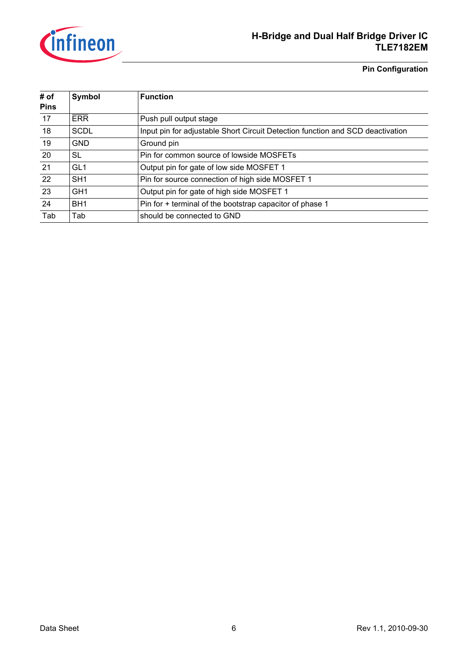

## **H-Bridge and Dual Half Bridge Driver IC TLE7182EM**

**Pin Configuration**

| # of<br><b>Pins</b> | Symbol          | <b>Function</b>                                                                |
|---------------------|-----------------|--------------------------------------------------------------------------------|
| 17                  | <b>ERR</b>      | Push pull output stage                                                         |
| 18                  | <b>SCDL</b>     | Input pin for adjustable Short Circuit Detection function and SCD deactivation |
| 19                  | <b>GND</b>      | Ground pin                                                                     |
| 20                  | <b>SL</b>       | Pin for common source of lowside MOSFETs                                       |
| 21                  | GL <sub>1</sub> | Output pin for gate of low side MOSFET 1                                       |
| 22                  | SH <sub>1</sub> | Pin for source connection of high side MOSFET 1                                |
| 23                  | GH <sub>1</sub> | Output pin for gate of high side MOSFET 1                                      |
| 24                  | BH <sub>1</sub> | Pin for + terminal of the bootstrap capacitor of phase 1                       |
| Tab                 | Tab             | should be connected to GND                                                     |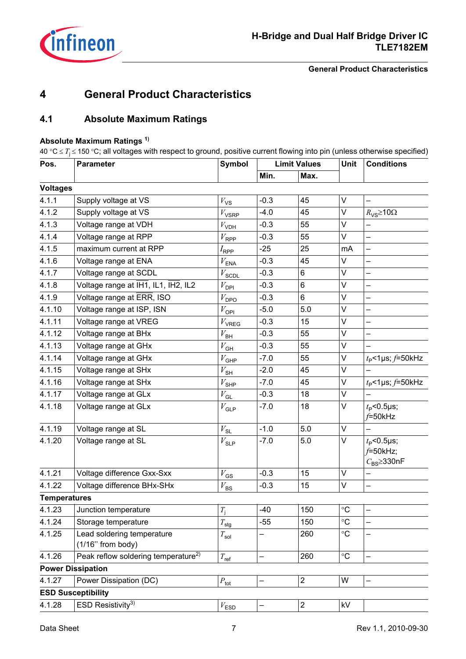

**General Product Characteristics**

## <span id="page-6-0"></span>**4 General Product Characteristics**

## <span id="page-6-1"></span>**4.1 Absolute Maximum Ratings**

#### **Absolute Maximum Ratings 1)**

40 °C ≤ *T*<sup>j</sup> ≤ 150 °C; all voltages with respect to ground, positive current flowing into pin (unless otherwise specified)

| Pos.                | <b>Parameter</b>                                  | <b>Symbol</b>       |        | <b>Limit Values</b> | Unit              | <b>Conditions</b>                                       |  |
|---------------------|---------------------------------------------------|---------------------|--------|---------------------|-------------------|---------------------------------------------------------|--|
|                     |                                                   |                     | Min.   | Max.                |                   |                                                         |  |
| <b>Voltages</b>     |                                                   |                     |        |                     |                   |                                                         |  |
| 4.1.1               | Supply voltage at VS                              | $V_{\mathsf{VS}}$   | $-0.3$ | 45                  | V                 |                                                         |  |
| 4.1.2               | Supply voltage at VS                              | $V_{\mathsf{VSRP}}$ | $-4.0$ | 45                  | V                 | $R_{\text{VS}}$ 210 $\Omega$                            |  |
| 4.1.3               | Voltage range at VDH                              | $V_{\mathsf{VDH}}$  | $-0.3$ | 55                  | $\vee$            |                                                         |  |
| 4.1.4               | Voltage range at RPP                              | $V_{\sf RPP}$       | $-0.3$ | 55                  | V                 |                                                         |  |
| 4.1.5               | maximum current at RPP                            | $I_{\mathsf{RPP}}$  | $-25$  | 25                  | mA                |                                                         |  |
| 4.1.6               | Voltage range at ENA                              | $V_{\sf ENA}$       | $-0.3$ | 45                  | V                 |                                                         |  |
| 4.1.7               | Voltage range at SCDL                             | $V_\mathsf{SCDL}$   | $-0.3$ | 6                   | V                 |                                                         |  |
| 4.1.8               | Voltage range at IH1, IL1, IH2, IL2               | $V_{\sf DPI}$       | $-0.3$ | 6                   | $\vee$            |                                                         |  |
| 4.1.9               | Voltage range at ERR, ISO                         | $V_{\mathsf{DPO}}$  | $-0.3$ | 6                   | V                 | $\overline{\phantom{0}}$                                |  |
| 4.1.10              | Voltage range at ISP, ISN                         | $V_{\rm OPI}$       | $-5.0$ | 5.0                 | V                 |                                                         |  |
| 4.1.11              | Voltage range at VREG                             | $V_{\text{VREG}}$   | $-0.3$ | 15                  | V                 |                                                         |  |
| 4.1.12              | Voltage range at BHx                              | $V_{\sf BH}$        | $-0.3$ | 55                  | V                 |                                                         |  |
| 4.1.13              | Voltage range at GHx                              | $V_{\mathsf{GH}}$   | $-0.3$ | 55                  | V                 |                                                         |  |
| 4.1.14              | Voltage range at GHx                              | $V_{\mathsf{GHP}}$  | $-7.0$ | 55                  | V                 | $t_{\rm P}$ <1µs; f=50kHz                               |  |
| 4.1.15              | Voltage range at SHx                              | $V_{\sf SH}$        | $-2.0$ | 45                  | $\vee$            |                                                         |  |
| 4.1.16              | Voltage range at SHx                              | $V_{\text{SHP}}$    | $-7.0$ | 45                  | V                 | $t_{\rm P}$ <1µs; $f$ =50kHz                            |  |
| 4.1.17              | Voltage range at GLx                              | $V_{\mathsf{GL}}$   | $-0.3$ | 18                  | V                 |                                                         |  |
| 4.1.18              | Voltage range at GLx                              | $V_{\mathsf{GLP}}$  | $-7.0$ | 18                  | V                 | $t_{\rm P}$ <0.5µs;<br>$f=50$ kHz                       |  |
| 4.1.19              | Voltage range at SL                               | $V_{\text{SL}}$     | $-1.0$ | 5.0                 | $\vee$            |                                                         |  |
| 4.1.20              | Voltage range at SL                               | $V_{\sf SLP}$       | $-7.0$ | 5.0                 | V                 | $t_{\rm P}$ <0.5µs;<br>f=50kHz;<br>$C_{BS} \geq 330$ nF |  |
| 4.1.21              | Voltage difference Gxx-Sxx                        | $V_{\text{GS}}$     | $-0.3$ | 15                  | $\vee$            |                                                         |  |
| 4.1.22              | Voltage difference BHx-SHx                        | $V_{\mathsf{BS}}$   | $-0.3$ | 15                  | V                 |                                                         |  |
| <b>Temperatures</b> |                                                   |                     |        |                     |                   |                                                         |  |
| 4.1.23              | Junction temperature                              | $T_{\rm j}$         | -40    | 150                 | $^\circ \text{C}$ |                                                         |  |
| 4.1.24              | Storage temperature                               | $T_{\mathsf{stg}}$  | $-55$  | 150                 | $\rm ^{\circ}C$   |                                                         |  |
| 4.1.25              | Lead soldering temperature<br>$(1/16"$ from body) | $T_{\mathsf{sol}}$  |        | 260                 | $\rm ^{\circ}C$   |                                                         |  |
| 4.1.26              | Peak reflow soldering temperature <sup>2)</sup>   | $T_{\rm ref}$       |        | 260                 | $\circ$ C         |                                                         |  |
|                     | <b>Power Dissipation</b>                          |                     |        |                     |                   |                                                         |  |
| 4.1.27              | Power Dissipation (DC)                            | $P_{\rm tot}$       |        | $\overline{2}$      | W                 |                                                         |  |
|                     | <b>ESD Susceptibility</b>                         |                     |        |                     |                   |                                                         |  |
| 4.1.28              | ESD Resistivity <sup>3)</sup>                     | $V_{\text{ESD}}$    |        | $\sqrt{2}$          | kV                |                                                         |  |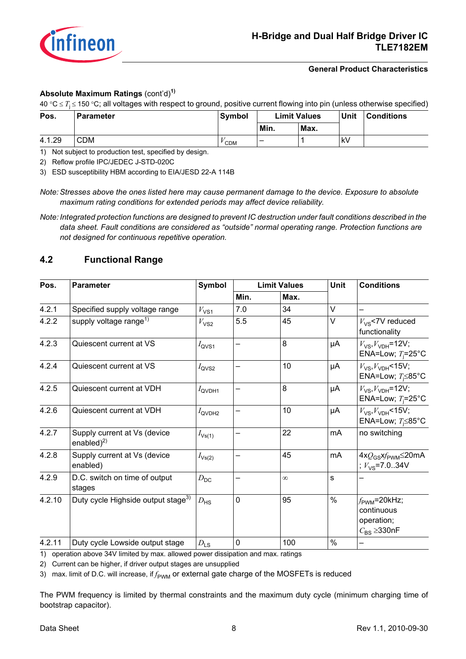

#### **General Product Characteristics**

#### **Absolute Maximum Ratings** (cont'd)**1)**

40 °C ≤ *T*<sup>j</sup> ≤ 150 °C; all voltages with respect to ground, positive current flowing into pin (unless otherwise specified)

| Pos.   | <b>Parameter</b> | Symbol     |      | <b>Limit Values</b> | <b>Unit</b> | <b>Conditions</b> |
|--------|------------------|------------|------|---------------------|-------------|-------------------|
|        |                  |            | Min. | Max.                |             |                   |
| 4.1.29 | <b>CDM</b>       | <b>CDM</b> | -    |                     | kV          |                   |

1) Not subject to production test, specified by design.

2) Reflow profile IPC/JEDEC J-STD-020C

3) ESD susceptibility HBM according to EIA/JESD 22-A 114B

*Note: Stresses above the ones listed here may cause permanent damage to the device. Exposure to absolute maximum rating conditions for extended periods may affect device reliability.*

*Note: Integrated protection functions are designed to prevent IC destruction under fault conditions described in the data sheet. Fault conditions are considered as "outside" normal operating range. Protection functions are not designed for continuous repetitive operation.*

## <span id="page-7-0"></span>**4.2 Functional Range**

| Pos.   | <b>Parameter</b>                                 | Symbol               |          | <b>Limit Values</b> | <b>Unit</b> | <b>Conditions</b>                                                                |  |
|--------|--------------------------------------------------|----------------------|----------|---------------------|-------------|----------------------------------------------------------------------------------|--|
|        |                                                  |                      | Min.     | Max.                |             |                                                                                  |  |
| 4.2.1  | Specified supply voltage range                   | $V_{VS1}$            | 7.0      | 34                  | $\vee$      |                                                                                  |  |
| 4.2.2  | supply voltage range <sup>1)</sup>               | $V_{\text{VS2}}$     | 5.5      | 45                  | V           | $V_{VS}$ <7V reduced<br>functionality                                            |  |
| 4.2.3  | Quiescent current at VS                          | $I_{\text{QVS1}}$    |          | 8                   | μA          | $V_{\text{VS}}$ , $V_{\text{VDH}}$ =12V;<br>ENA=Low; $T_i = 25^{\circ}C$         |  |
| 4.2.4  | Quiescent current at VS                          | $I_{\text{QVS2}}$    |          | 10                  | μA          | $V_{\text{VS}}$ , $V_{\text{VDH}}$ <15V;<br>ENA=Low; $T_1 \le 85^\circ \text{C}$ |  |
| 4.2.5  | Quiescent current at VDH                         | $I_{\mathsf{QVDH1}}$ | <b>—</b> | 8                   | μA          | $V_{\text{VS}}$ , $V_{\text{VDH}}$ =12V;<br>ENA=Low; $T_1 = 25^{\circ}C$         |  |
| 4.2.6  | Quiescent current at VDH                         | $I_{\mathsf{QVDH2}}$ |          | 10                  | μA          | $V_{\rm VS}$ , $V_{\rm VDH}$ <15V;<br>ENA=Low; $T_i \le 85^{\circ}$ C            |  |
| 4.2.7  | Supply current at Vs (device<br>enabled $)^{2)}$ | $I_{\text{Vs(1)}}$   |          | 22                  | mA          | no switching                                                                     |  |
| 4.2.8  | Supply current at Vs (device<br>enabled)         | $I_{\text{Vs(2)}}$   |          | 45                  | mA          | $4xQ_{GS}xf_{\text{PWM}} \leq 20 \text{mA}$<br>; $V_{\text{VS}}$ =7.034V         |  |
| 4.2.9  | D.C. switch on time of output<br>stages          | $D_{\mathsf{DC}}$    |          | $\infty$            | s           |                                                                                  |  |
| 4.2.10 | Duty cycle Highside output stage <sup>3)</sup>   | $D_{\text{HS}}$      | 0        | 95                  | $\%$        | $f_{\text{PWM}}$ =20kHz;<br>continuous<br>operation;<br>$C_{BS} \geq 330$ nF     |  |
| 4.2.11 | Duty cycle Lowside output stage                  | $D_{LS}$             | 0        | 100                 | $\%$        |                                                                                  |  |

1) operation above 34V limited by max. allowed power dissipation and max. ratings

2) Current can be higher, if driver output stages are unsupplied

3) max. limit of D.C. will increase, if  $f_{\text{PWM}}$  or external gate charge of the MOSFETs is reduced

The PWM frequency is limited by thermal constraints and the maximum duty cycle (minimum charging time of bootstrap capacitor).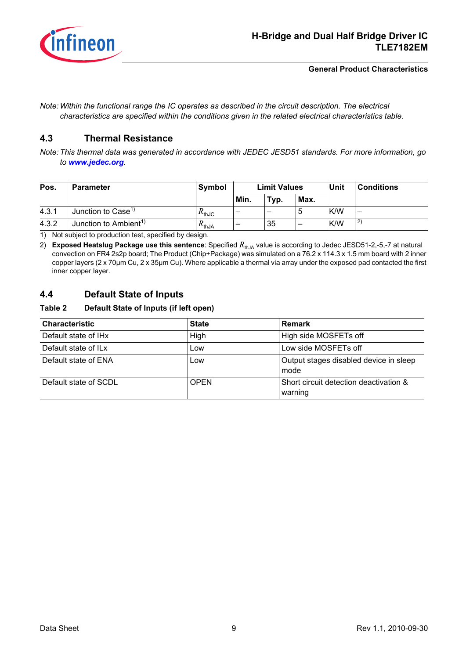

#### **General Product Characteristics**

*Note: Within the functional range the IC operates as described in the circuit description. The electrical characteristics are specified within the conditions given in the related electrical characteristics table.*

#### <span id="page-8-3"></span><span id="page-8-0"></span>**4.3 Thermal Resistance**

*Note: This thermal data was generated in accordance with JEDEC JESD51 standards. For more information, go to [www.jedec.org](http://www.jedec.org).*

| Pos.  | <b>Limit Values</b><br>Symbol<br><b>Parameter</b> |                                    |      |      |                          | Unit | <b>Conditions</b> |
|-------|---------------------------------------------------|------------------------------------|------|------|--------------------------|------|-------------------|
|       |                                                   |                                    | Min. | Typ. | Max.                     |      |                   |
| 4.3.1 | Junction to $Case1$                               | $\mathsf{\Lambda}_{\mathsf{thJC}}$ | -    | -    | b                        | K/W  | -                 |
| 4.3.2 | Junction to Ambient <sup>1)</sup>                 | $n_{thJA}$                         | -    | 35   | $\overline{\phantom{0}}$ | K/W  | 2)                |

<span id="page-8-2"></span>1) Not subject to production test, specified by design.

2) **Exposed Heatslug Package use this sentence**: Specified *R*thJA value is according to Jedec JESD51-2,-5,-7 at natural convection on FR4 2s2p board; The Product (Chip+Package) was simulated on a 76.2 x 114.3 x 1.5 mm board with 2 inner copper layers (2 x 70µm Cu, 2 x 35µm Cu). Where applicable a thermal via array under the exposed pad contacted the first inner copper layer.

## <span id="page-8-1"></span>**4.4 Default State of Inputs**

#### **Table 2 Default State of Inputs (if left open)**

| <b>Characteristic</b>            | <b>State</b> | <b>Remark</b>                                     |
|----------------------------------|--------------|---------------------------------------------------|
| Default state of IH <sub>x</sub> | High         | High side MOSFETs off                             |
| Default state of IL <sub>x</sub> | Low          | Low side MOSFETs off                              |
| Default state of ENA             | Low          | Output stages disabled device in sleep<br>mode    |
| Default state of SCDL            | <b>OPEN</b>  | Short circuit detection deactivation &<br>warning |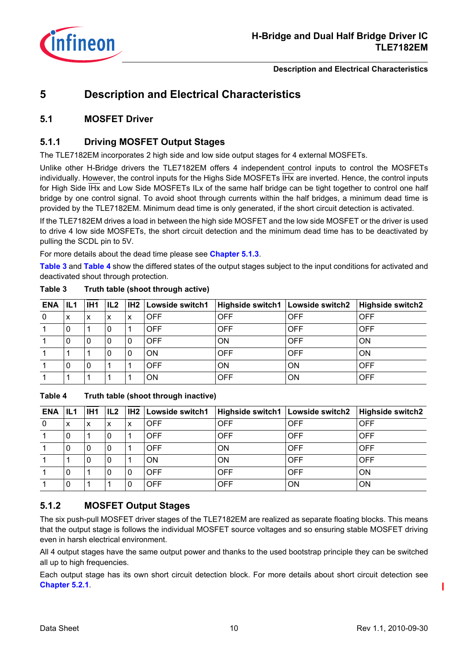

## <span id="page-9-0"></span>**5 Description and Electrical Characteristics**

## <span id="page-9-1"></span>**5.1 MOSFET Driver**

## <span id="page-9-2"></span>**5.1.1 Driving MOSFET Output Stages**

The TLE7182EM incorporates 2 high side and low side output stages for 4 external MOSFETs.

Unlike other H-Bridge drivers the TLE7182EM offers 4 independent control inputs to control the MOSFETs individually. However, the control inputs for the Highs Side MOSFETs IH<sub>X</sub> are inverted. Hence, the control inputs for High Side IHx and Low Side MOSFETs ILx of the same half bridge can be tight together to control one half bridge by one control signal. To avoid shoot through currents within the half bridges, a minimum dead time is provided by the TLE7182EM. Minimum dead time is only generated, if the short circuit detection is activated.

If the TLE7182EM drives a load in between the high side MOSFET and the low side MOSFET or the driver is used to drive 4 low side MOSFETs, the short circuit detection and the minimum dead time has to be deactivated by pulling the SCDL pin to 5V.

For more details about the dead time please see **[Chapter 5.1.3](#page-10-0)**.

**[Table 3](#page-9-4)** and **[Table 4](#page-9-5)** show the differed states of the output stages subject to the input conditions for activated and deactivated shout through protection.

| <b>ENA</b>   | IL1 | IH1 | IL2 | IH2 | Lowside switch1 | Highside switch1   Lowside switch2 |            | <b>Highside switch2</b> |
|--------------|-----|-----|-----|-----|-----------------|------------------------------------|------------|-------------------------|
| $\mathbf{0}$ | x   | x   | X   | х   | OFF             | <b>OFF</b>                         | <b>OFF</b> | <b>OFF</b>              |
|              |     |     | 0   |     | OFF             | <b>OFF</b>                         | <b>OFF</b> | <b>OFF</b>              |
|              |     |     |     | 0   | OFF             | <b>ON</b>                          | <b>OFF</b> | ON                      |
|              |     |     | 0   | 0   | OΝ              | <b>OFF</b>                         | <b>OFF</b> | ON                      |
|              |     | 0   |     |     | OFF             | <b>ON</b>                          | ON         | OFF                     |
|              |     |     |     |     | ΟN              | <b>OFF</b>                         | ON         | <b>OFF</b>              |

#### <span id="page-9-4"></span>**Table 3 Truth table (shoot through active)**

<span id="page-9-5"></span>**Table 4 Truth table (shoot through inactive)** 

| <b>ENA</b>  | IL1 | IH <sub>1</sub> | IL2 | IH2 | Lowside switch1 | Highside switch1   Lowside switch2 |            | <b>Highside switch2</b> |
|-------------|-----|-----------------|-----|-----|-----------------|------------------------------------|------------|-------------------------|
| $\mathbf 0$ | x   | x               | x   | x   | <b>OFF</b>      | <b>OFF</b>                         | <b>OFF</b> | <b>OFF</b>              |
|             | 0   |                 |     |     | <b>OFF</b>      | <b>OFF</b>                         | <b>OFF</b> | OFF                     |
|             | 0   | 0               | U   |     | <b>OFF</b>      | <b>ON</b>                          | <b>OFF</b> | <b>OFF</b>              |
|             |     |                 | 0   |     | ΟN              | <b>ON</b>                          | <b>OFF</b> | <b>OFF</b>              |
|             | 0   |                 |     | 0   | <b>OFF</b>      | <b>OFF</b>                         | <b>OFF</b> | ON                      |
|             | 0   |                 |     | 0   | <b>OFF</b>      | <b>OFF</b>                         | ON         | ON                      |

## <span id="page-9-3"></span>**5.1.2 MOSFET Output Stages**

The six push-pull MOSFET driver stages of the TLE7182EM are realized as separate floating blocks. This means that the output stage is follows the individual MOSFET source voltages and so ensuring stable MOSFET driving even in harsh electrical environment.

All 4 output stages have the same output power and thanks to the used bootstrap principle they can be switched all up to high frequencies.

Each output stage has its own short circuit detection block. For more details about short circuit detection see **[Chapter 5.2.1](#page-15-6)**.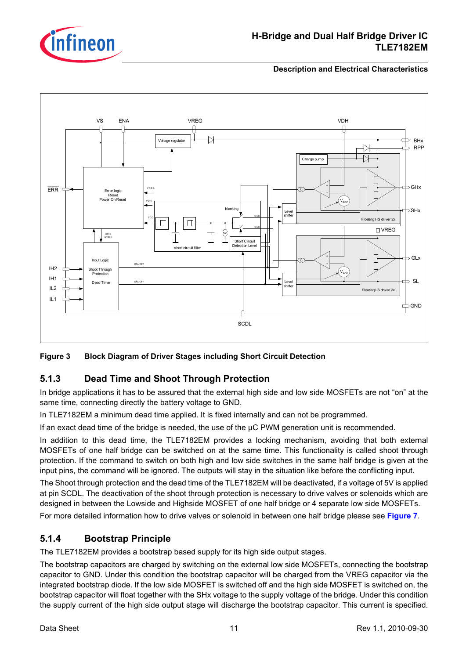

## **H-Bridge and Dual Half Bridge Driver IC TLE7182EM**

#### **Description and Electrical Characteristics**



#### **Figure 3 Block Diagram of Driver Stages including Short Circuit Detection**

## <span id="page-10-0"></span>**5.1.3 Dead Time and Shoot Through Protection**

In bridge applications it has to be assured that the external high side and low side MOSFETs are not "on" at the same time, connecting directly the battery voltage to GND.

In TLE7182EM a minimum dead time applied. It is fixed internally and can not be programmed.

If an exact dead time of the bridge is needed, the use of the µC PWM generation unit is recommended.

In addition to this dead time, the TLE7182EM provides a locking mechanism, avoiding that both external MOSFETs of one half bridge can be switched on at the same time. This functionality is called shoot through protection. If the command to switch on both high and low side switches in the same half bridge is given at the input pins, the command will be ignored. The outputs will stay in the situation like before the conflicting input.

The Shoot through protection and the dead time of the TLE7182EM will be deactivated, if a voltage of 5V is applied at pin SCDL. The deactivation of the shoot through protection is necessary to drive valves or solenoids which are designed in between the Lowside and Highside MOSFET of one half bridge or 4 separate low side MOSFETs.

For more detailed information how to drive valves or solenoid in between one half bridge please see **[Figure 7](#page-23-0)**.

## <span id="page-10-1"></span>**5.1.4 Bootstrap Principle**

The TLE7182EM provides a bootstrap based supply for its high side output stages.

The bootstrap capacitors are charged by switching on the external low side MOSFETs, connecting the bootstrap capacitor to GND. Under this condition the bootstrap capacitor will be charged from the VREG capacitor via the integrated bootstrap diode. If the low side MOSFET is switched off and the high side MOSFET is switched on, the bootstrap capacitor will float together with the SHx voltage to the supply voltage of the bridge. Under this condition the supply current of the high side output stage will discharge the bootstrap capacitor. This current is specified.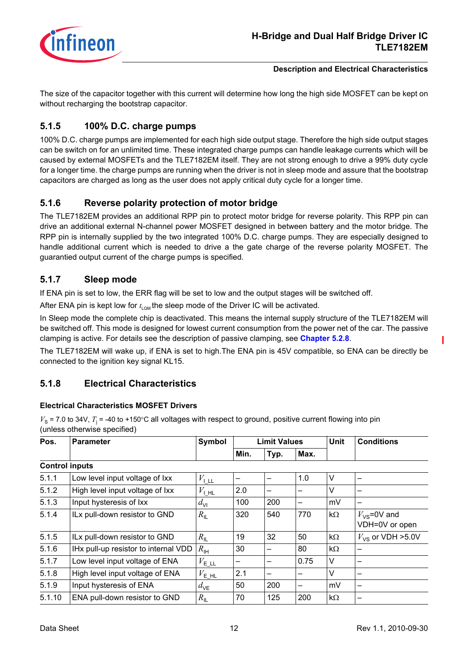

The size of the capacitor together with this current will determine how long the high side MOSFET can be kept on without recharging the bootstrap capacitor.

## <span id="page-11-0"></span>**5.1.5 100% D.C. charge pumps**

100% D.C. charge pumps are implemented for each high side output stage. Therefore the high side output stages can be switch on for an unlimited time. These integrated charge pumps can handle leakage currents which will be caused by external MOSFETs and the TLE7182EM itself. They are not strong enough to drive a 99% duty cycle for a longer time. the charge pumps are running when the driver is not in sleep mode and assure that the bootstrap capacitors are charged as long as the user does not apply critical duty cycle for a longer time.

## <span id="page-11-1"></span>**5.1.6 Reverse polarity protection of motor bridge**

The TLE7182EM provides an additional RPP pin to protect motor bridge for reverse polarity. This RPP pin can drive an additional external N-channel power MOSFET designed in between battery and the motor bridge. The RPP pin is internally supplied by the two integrated 100% D.C. charge pumps. They are especially designed to handle additional current which is needed to drive a the gate charge of the reverse polarity MOSFET. The guarantied output current of the charge pumps is specified.

## <span id="page-11-2"></span>**5.1.7 Sleep mode**

If ENA pin is set to low, the ERR flag will be set to low and the output stages will be switched off.

After ENA pin is kept low for  $t_{\text{low}}$  the sleep mode of the Driver IC will be activated.

In Sleep mode the complete chip is deactivated. This means the internal supply structure of the TLE7182EM will be switched off. This mode is designed for lowest current consumption from the power net of the car. The passive clamping is active. For details see the description of passive clamping, see **[Chapter 5.2.8](#page-16-4)**.

The TLE7182EM will wake up, if ENA is set to high.The ENA pin is 45V compatible, so ENA can be directly be connected to the ignition key signal KL15.

## <span id="page-11-3"></span>**5.1.8 Electrical Characteristics**

#### **Electrical Characteristics MOSFET Drivers**

|      | (unless otherwise specified) |               |      |                     |      |                           |  |  |  |  |
|------|------------------------------|---------------|------|---------------------|------|---------------------------|--|--|--|--|
| Pos. | <b>Parameter</b>             | <b>Symbol</b> |      | <b>Limit Values</b> |      | <b>Conditions</b><br>Unit |  |  |  |  |
|      |                              |               | Min. | Typ.                | Max. |                           |  |  |  |  |

 $V_s$  = 7.0 to 34V,  $T_i$  = -40 to +150°C all voltages with respect to ground, positive current flowing into pin

|        |                                      |                             | Min. | Typ. | Max. |           |                                    |
|--------|--------------------------------------|-----------------------------|------|------|------|-----------|------------------------------------|
|        | <b>Control inputs</b>                |                             |      |      |      |           |                                    |
| 5.1.1  | Low level input voltage of Ixx       | $V_{\perp \perp \perp}$     |      |      | 1.0  | V         |                                    |
| 5.1.2  | High level input voltage of Ixx      | $V_{\perp H}$               | 2.0  | -    |      | V         |                                    |
| 5.1.3  | Input hysteresis of Ixx              | $d_{\rm VI}$                | 100  | 200  |      | mV        |                                    |
| 5.1.4  | ILx pull-down resistor to GND        | $R_{\parallel}$             | 320  | 540  | 770  | $k\Omega$ | $V_{VS}$ =0V and<br>VDH=0V or open |
| 5.1.5  | ILx pull-down resistor to GND        | $R_{\rm IL}$                | 19   | 32   | 50   | $k\Omega$ | $V_{\text{VS}}$ or VDH >5.0V       |
| 5.1.6  | IHx pull-up resistor to internal VDD | $R_{\text{IH}}$             | 30   | —    | 80   | $k\Omega$ |                                    |
| 5.1.7  | Low level input voltage of ENA       | $V_{\text{E}\perp\text{L}}$ | -    | —    | 0.75 | V         | -                                  |
| 5.1.8  | High level input voltage of ENA      | $V_{\mathsf{E\_HL}}$        | 2.1  | -    |      | V         | -                                  |
| 5.1.9  | Input hysteresis of ENA              | $d_{\text{VE}}$             | 50   | 200  | -    | mV        | -                                  |
| 5.1.10 | ENA pull-down resistor to GND        | $R_{\rm IL}$                | 70   | 125  | 200  | $k\Omega$ | -                                  |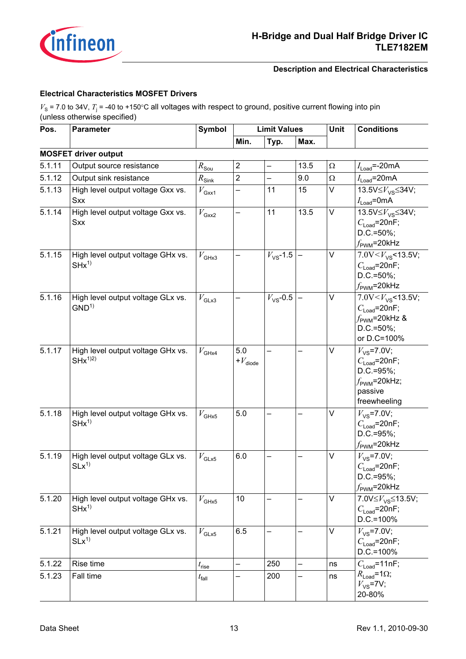

#### **Electrical Characteristics MOSFET Drivers**

 $V_{\rm S}$  = 7.0 to 34V,  $T_{\rm j}$  = -40 to +150°C all voltages with respect to ground, positive current flowing into pin (unless otherwise specified)

| Pos.   | <b>Parameter</b>                                 | <b>Symbol</b>              | <b>Limit Values</b>              |                      |      | Unit     | <b>Conditions</b>                                                                                                          |  |
|--------|--------------------------------------------------|----------------------------|----------------------------------|----------------------|------|----------|----------------------------------------------------------------------------------------------------------------------------|--|
|        |                                                  |                            | Min.                             | Typ.                 | Max. |          |                                                                                                                            |  |
|        | <b>MOSFET driver output</b>                      |                            |                                  |                      |      |          |                                                                                                                            |  |
| 5.1.11 | Output source resistance                         | $R_{\text{Sou}}$           | $\overline{c}$                   | -                    | 13.5 | $\Omega$ | $I_{\mathsf{Load}}$ =-20mA                                                                                                 |  |
| 5.1.12 | Output sink resistance                           | $R_{\rm Sin\underline{k}}$ | $\overline{2}$                   |                      | 9.0  | Ω        | $I_{\text{Load}}$ =20mA                                                                                                    |  |
| 5.1.13 | High level output voltage Gxx vs.<br><b>Sxx</b>  | $V_{\rm Gxx1}$             | -                                | 11                   | 15   | V        | 13.5V $\leq$ $V_{\text{VS}}$ $\leq$ 34V;<br>$I_{\text{Load}}$ =0mA                                                         |  |
| 5.1.14 | High level output voltage Gxx vs.<br><b>Sxx</b>  | $V_{\rm Gxx2}$             |                                  | 11                   | 13.5 | V        | 13.5V $\leq$ $V_{\text{VS}}$ $\leq$ 34V;<br>$C_{\text{Load}}$ =20nF;<br>$D.C.=50\%;$<br>$f_{\rm PWM}$ =20kHz               |  |
| 5.1.15 | High level output voltage GHx vs.<br>$SHx^{1}$   | $V_{\text{GHx3}}$          |                                  | $V_{\text{VS}}$ -1.5 |      | V        | 7.0V < $V_{\text{VS}}$ < 13.5V;<br>$C_{\text{Load}}$ =20nF;<br>$D.C.=50\%;$<br>$f_{\rm PWM}$ =20kHz                        |  |
| 5.1.16 | High level output voltage GLx vs.<br>$GND^{1)}$  | $V_{\text{GLx3}}$          |                                  | $V_{\text{VS}}$ -0.5 |      | $\vee$   | 7.0V < $V_{VS}$ < 13.5V;<br>$C_{\text{Load}}$ =20nF;<br>$f_{\rm PWM}$ =20kHz &<br>$D.C.=50\%$ ;<br>or D.C=100%             |  |
| 5.1.17 | High level output voltage GHx vs.<br>$SHx^{1/2}$ | $V_{\mathsf{GHx4}}$        | 5.0<br>$\textit{+}V_{\rm diode}$ |                      |      | V        | $V_{\text{VS}}$ =7.0V;<br>$C_{\text{Load}}$ =20nF;<br>$D.C.=95\%$ ;<br>$f_{\text{PWM}}$ =20kHz;<br>passive<br>freewheeling |  |
| 5.1.18 | High level output voltage GHx vs.<br>$SHx^{1}$   | $V$ GHx5                   | 5.0                              |                      |      | V        | $V_{\text{VS}}$ =7.0V;<br>$C_{\text{Load}}$ =20nF;<br>$D.C.=95\%;$<br>$f_{\rm PWM}$ =20kHz                                 |  |
| 5.1.19 | High level output voltage GLx vs.<br>$SLx^{1}$   | $V_{\rm GLx5}$             | 6.0                              |                      |      | V        | $V_{\text{VS}}$ =7.0V;<br>$C_{\text{Load}}$ =20nF;<br>D.C.=95%;<br>$f_{\text{PWM}}$ =20kHz                                 |  |
| 5.1.20 | High level output voltage GHx vs.<br>$SHx^{1}$   | $V$ GHx5                   | 10                               |                      |      | $\vee$   | 7.0V $\leq$ V <sub>VS</sub> $\leq$ 13.5V;<br>$C_{\text{Load}}$ =20nF;<br>$D.C.=100%$                                       |  |
| 5.1.21 | High level output voltage GLx vs.<br>$SLx^{1}$   | $V_{\text{GLx5}}$          | 6.5                              |                      |      | $\vee$   | $V_{\text{VS}}$ =7.0V;<br>$C_{\text{Load}}$ =20nF;<br>$D.C.=100\%$                                                         |  |
| 5.1.22 | Rise time                                        | $t_{\sf rise}$             |                                  | 250                  | -    | ns       | $C_{\text{Load}}$ =11nF;                                                                                                   |  |
| 5.1.23 | Fall time                                        | $t_{\sf fall}$             |                                  | 200                  |      | ns       | $R_{\text{Load}} = 1\Omega$ ;<br>$V_{\text{VS}}$ =7V;<br>20-80%                                                            |  |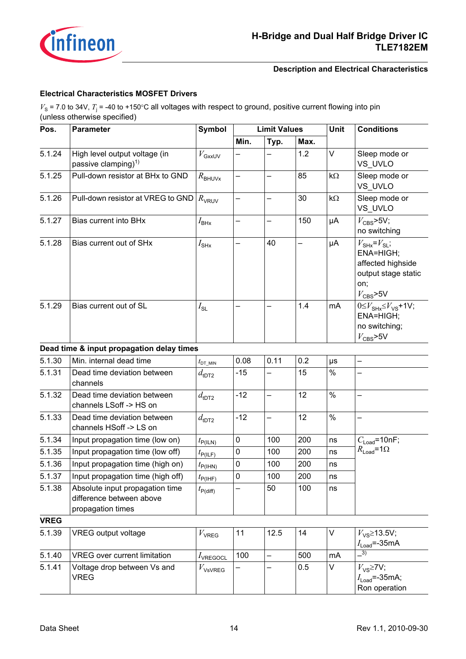

#### **Electrical Characteristics MOSFET Drivers**

 $V_{\rm S}$  = 7.0 to 34V,  $T_{\rm j}$  = -40 to +150°C all voltages with respect to ground, positive current flowing into pin (unless otherwise specified)

| Pos.        | <b>Symbol</b><br><b>Limit Values</b><br><b>Parameter</b>                         |                                      |       | Unit                     | <b>Conditions</b> |                                                                                    |                                                                                                                          |  |
|-------------|----------------------------------------------------------------------------------|--------------------------------------|-------|--------------------------|-------------------|------------------------------------------------------------------------------------|--------------------------------------------------------------------------------------------------------------------------|--|
|             |                                                                                  |                                      | Min.  | Typ.<br>Max.             |                   |                                                                                    |                                                                                                                          |  |
| 5.1.24      | High level output voltage (in<br>passive clamping) <sup>1)</sup>                 | $V_{\rm GxxUV}$                      |       |                          | 1.2               | $\vee$                                                                             | Sleep mode or<br>VS UVLO                                                                                                 |  |
| 5.1.25      | Pull-down resistor at BHx to GND                                                 | $R_{\text{BHUVx}}$                   |       |                          | 85                | $k\Omega$                                                                          | Sleep mode or<br>VS UVLO                                                                                                 |  |
| 5.1.26      | Pull-down resistor at VREG to GND                                                | $R_{\rm VRUV}$                       | —     | $\overline{\phantom{0}}$ | 30                | $k\Omega$                                                                          | Sleep mode or<br>VS UVLO                                                                                                 |  |
| 5.1.27      | Bias current into BHx                                                            | $I_{\mathsf{B}\mathsf{H}\mathsf{x}}$ |       |                          | 150               | μA                                                                                 | $V_{\rm CBS}$ >5V;<br>no switching                                                                                       |  |
| 5.1.28      | Bias current out of SHx                                                          | $I_{\rm SHx}$                        |       | 40                       | -                 | μA                                                                                 | $V_{\text{SHx}} = V_{\text{SL}}$<br>ENA=HIGH;<br>affected highside<br>output stage static<br>on;<br>$V_{\text{CBS}}$ >5V |  |
| 5.1.29      | Bias current out of SL                                                           | $I_{\text{SL}}$                      |       |                          | 1.4               | mA                                                                                 | $0 \leq V_{\text{SHx}} \leq V_{\text{VS}}$ +1V;<br>ENA=HIGH;<br>no switching;<br>$V_{\text{CBS}}$ >5V                    |  |
|             | Dead time & input propagation delay times                                        |                                      |       |                          |                   |                                                                                    |                                                                                                                          |  |
| 5.1.30      | Min. internal dead time                                                          | $t_{\text{DT\_MIN}}$                 | 0.08  | 0.11                     | 0.2               | $\mu s$                                                                            |                                                                                                                          |  |
| 5.1.31      | Dead time deviation between<br>channels                                          | $d_{\text{tDT2}}$                    | $-15$ |                          | 15                | $\%$                                                                               |                                                                                                                          |  |
| 5.1.32      | Dead time deviation between<br>channels LSoff -> HS on                           | $d_{\text{tDT2}}$                    | $-12$ |                          | 12                | $\%$                                                                               | $\overline{\phantom{0}}$                                                                                                 |  |
| 5.1.33      | Dead time deviation between<br>channels HSoff -> LS on                           | $d_{\text{tDT2}}$                    | $-12$ | $\overline{\phantom{0}}$ | 12                | $\%$                                                                               | —                                                                                                                        |  |
| 5.1.34      | Input propagation time (low on)                                                  | $t_{P(ILN)}$                         | 0     | 100                      | 200               | ns                                                                                 | $C_{\text{Load}}$ =10nF;                                                                                                 |  |
| 5.1.35      | Input propagation time (low off)                                                 | $t_{\mathsf{P}(I\mathsf{LF})}$       | 0     | 100                      | 200               | ns                                                                                 | $R_{\text{Load}} = 1\Omega$                                                                                              |  |
| 5.1.36      | Input propagation time (high on)                                                 | $t_{\mathsf{P(IHN)}}$                | 0     | 100                      | 200               | ns                                                                                 |                                                                                                                          |  |
| 5.1.37      | Input propagation time (high off)                                                | $t_{\mathsf{P(IHF)}}$                | 0     | 100                      | 200               | ns                                                                                 |                                                                                                                          |  |
| 5.1.38      | Absolute input propagation time<br>difference between above<br>propagation times | $t_{\mathsf{P(diff)}}$               |       | 50                       | 100               | ns                                                                                 |                                                                                                                          |  |
| <b>VREG</b> |                                                                                  |                                      |       |                          |                   |                                                                                    |                                                                                                                          |  |
| 5.1.39      | VREG output voltage                                                              | $V_{\rm VREG}$                       | 11    | 12.5                     | 14                | V                                                                                  | $V_{\text{VS}}$ 213.5V;<br>$I_{\text{Load}}$ =-35mA                                                                      |  |
| 5.1.40      | <b>VREG</b> over current limitation                                              | $I_{\text{VREGOCL}}$                 | 100   | $\overline{\phantom{0}}$ | 500               | mA                                                                                 | $\overline{3)}$                                                                                                          |  |
| 5.1.41      | Voltage drop between Vs and<br><b>VREG</b>                                       | $V_{\text{VsVREG}}$                  |       |                          | 0.5               | $\vee$<br>$V_{\text{VS}}$ $\geq$ 7V;<br>$I_{\text{Load}}$ =-35mA;<br>Ron operation |                                                                                                                          |  |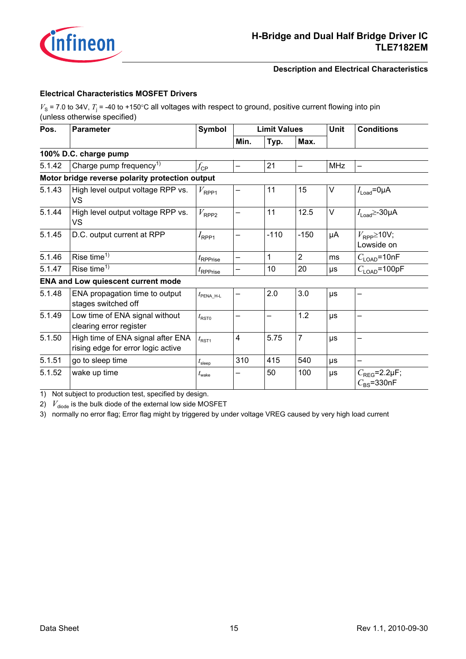

#### **Electrical Characteristics MOSFET Drivers**

 $V_{\rm S}$  = 7.0 to 34V,  $T_{\rm j}$  = -40 to +150°C all voltages with respect to ground, positive current flowing into pin (unless otherwise specified)

| Pos.   | <b>Parameter</b>                                                        | Symbol              | <b>Limit Values</b> |        |                | <b>Unit</b> | <b>Conditions</b>                               |  |
|--------|-------------------------------------------------------------------------|---------------------|---------------------|--------|----------------|-------------|-------------------------------------------------|--|
|        |                                                                         |                     | Min.                | Typ.   | Max.           |             |                                                 |  |
|        | 100% D.C. charge pump                                                   |                     |                     |        |                |             |                                                 |  |
| 5.1.42 | Charge pump frequency <sup>1)</sup>                                     | $f_{\mathsf{CP}}$   |                     | 21     |                | <b>MHz</b>  |                                                 |  |
|        | Motor bridge reverse polarity protection output                         |                     |                     |        |                |             |                                                 |  |
| 5.1.43 | High level output voltage RPP vs.<br>VS                                 | $V_{\sf RPP1}$      |                     | 11     | 15             | V           | $I_{\text{Load}}$ =0µA                          |  |
| 5.1.44 | High level output voltage RPP vs.<br><b>VS</b>                          | $V_{\sf RPP2}$      |                     | 11     | 12.5           | V           | $I_{\text{Load}} \geq -30 \mu A$                |  |
| 5.1.45 | D.C. output current at RPP                                              | $I_{\mathsf{RPP1}}$ |                     | $-110$ | $-150$         | μA          | $V_{\mathsf{RPP}}$ 210V;<br>Lowside on          |  |
| 5.1.46 | Rise time <sup>1)</sup>                                                 | $t_{\sf RPPrise}$   |                     | 1      | $\overline{2}$ | ms          | $C_{\text{LOAD}}$ =10nF                         |  |
| 5.1.47 | Rise time $1$                                                           | $t_{\sf RPPrise}$   |                     | 10     | 20             | μs          | $C_{\text{LOAD}}$ =100pF                        |  |
|        | <b>ENA and Low quiescent current mode</b>                               |                     |                     |        |                |             |                                                 |  |
| 5.1.48 | ENA propagation time to output<br>stages switched off                   | $t_{\sf PENA\_H-L}$ |                     | 2.0    | 3.0            | $\mu s$     |                                                 |  |
| 5.1.49 | Low time of ENA signal without<br>clearing error register               | $t_{\text{RST0}}$   | —                   | —      | 1.2            | μs          | $\qquad \qquad \qquad$                          |  |
| 5.1.50 | High time of ENA signal after ENA<br>rising edge for error logic active | $t_{\text{RST1}}$   | 4                   | 5.75   | 7              | μs          |                                                 |  |
| 5.1.51 | go to sleep time                                                        | $t_{\sf sleep}$     | 310                 | 415    | 540            | $\mu s$     |                                                 |  |
| 5.1.52 | wake up time                                                            | $t_{\text{wake}}$   |                     | 50     | 100            | μs          | $C_{\text{REG}}$ =2.2µF;<br>$C_{\rm RS}$ =330nF |  |

<span id="page-14-0"></span>1) Not subject to production test, specified by design.

2)  $V_{\rm diode}$  is the bulk diode of the external low side MOSFET

3) normally no error flag; Error flag might by triggered by under voltage VREG caused by very high load current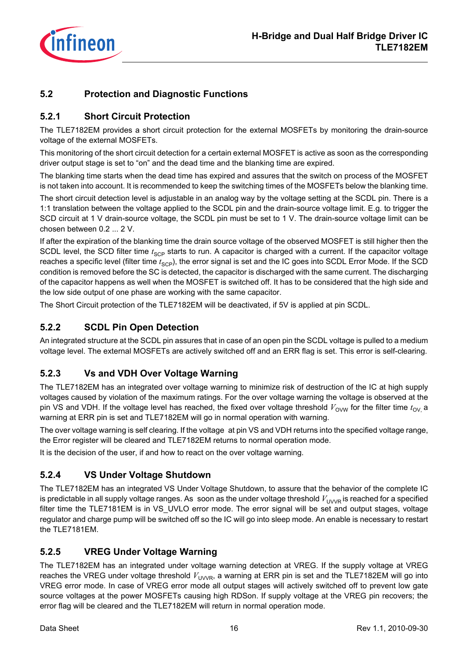

## <span id="page-15-0"></span>**5.2 Protection and Diagnostic Functions**

## <span id="page-15-6"></span><span id="page-15-1"></span>**5.2.1 Short Circuit Protection**

The TLE7182EM provides a short circuit protection for the external MOSFETs by monitoring the drain-source voltage of the external MOSFETs.

This monitoring of the short circuit detection for a certain external MOSFET is active as soon as the corresponding driver output stage is set to "on" and the dead time and the blanking time are expired.

The blanking time starts when the dead time has expired and assures that the switch on process of the MOSFET is not taken into account. It is recommended to keep the switching times of the MOSFETs below the blanking time.

The short circuit detection level is adjustable in an analog way by the voltage setting at the SCDL pin. There is a 1:1 translation between the voltage applied to the SCDL pin and the drain-source voltage limit. E.g. to trigger the SCD circuit at 1 V drain-source voltage, the SCDL pin must be set to 1 V. The drain-source voltage limit can be chosen between 0.2 ... 2 V.

If after the expiration of the blanking time the drain source voltage of the observed MOSFET is still higher then the SCDL level, the SCD filter time  $t_{SCP}$  starts to run. A capacitor is charged with a current. If the capacitor voltage reaches a specific level (filter time  $t_{\text{SCP}}$ ), the error signal is set and the IC goes into SCDL Error Mode. If the SCD condition is removed before the SC is detected, the capacitor is discharged with the same current. The discharging of the capacitor happens as well when the MOSFET is switched off. It has to be considered that the high side and the low side output of one phase are working with the same capacitor.

The Short Circuit protection of the TLE7182EM will be deactivated, if 5V is applied at pin SCDL.

## <span id="page-15-2"></span>**5.2.2 SCDL Pin Open Detection**

An integrated structure at the SCDL pin assures that in case of an open pin the SCDL voltage is pulled to a medium voltage level. The external MOSFETs are actively switched off and an ERR flag is set. This error is self-clearing.

## <span id="page-15-3"></span>**5.2.3 Vs and VDH Over Voltage Warning**

The TLE7182EM has an integrated over voltage warning to minimize risk of destruction of the IC at high supply voltages caused by violation of the maximum ratings. For the over voltage warning the voltage is observed at the pin VS and VDH. If the voltage level has reached, the fixed over voltage threshold  $V_{\text{OVM}}$  for the filter time  $t_{\text{OV}}$  a warning at ERR pin is set and TLE7182EM will go in normal operation with warning.

The over voltage warning is self clearing. If the voltage at pin VS and VDH returns into the specified voltage range, the Error register will be cleared and TLE7182EM returns to normal operation mode.

It is the decision of the user, if and how to react on the over voltage warning.

## <span id="page-15-4"></span>**5.2.4 VS Under Voltage Shutdown**

The TLE7182EM has an integrated VS Under Voltage Shutdown, to assure that the behavior of the complete IC is predictable in all supply voltage ranges. As soon as the under voltage threshold  $V_{\text{UVVR}}$  is reached for a specified filter time the TLE7181EM is in VS\_UVLO error mode. The error signal will be set and output stages, voltage regulator and charge pump will be switched off so the IC will go into sleep mode. An enable is necessary to restart the TLE7181EM.

## <span id="page-15-5"></span>**5.2.5 VREG Under Voltage Warning**

The TLE7182EM has an integrated under voltage warning detection at VREG. If the supply voltage at VREG reaches the VREG under voltage threshold  $V_{\text{UVVR}}$ , a warning at ERR pin is set and the TLE7182EM will go into VREG error mode. In case of VREG error mode all output stages will actively switched off to prevent low gate source voltages at the power MOSFETs causing high RDSon. If supply voltage at the VREG pin recovers; the error flag will be cleared and the TLE7182EM will return in normal operation mode.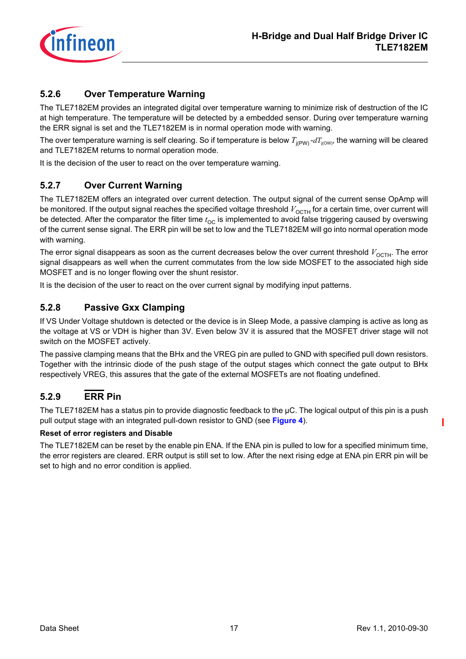

## <span id="page-16-0"></span>**5.2.6 Over Temperature Warning**

The TLE7182EM provides an integrated digital over temperature warning to minimize risk of destruction of the IC at high temperature. The temperature will be detected by a embedded sensor. During over temperature warning the ERR signal is set and the TLE7182EM is in normal operation mode with warning.

The over temperature warning is self clearing. So if temperature is below  $T_{j(pW)} - dT_{j(OW)}$ , the warning will be cleared and TLE7182EM returns to normal operation mode.

It is the decision of the user to react on the over temperature warning.

## <span id="page-16-5"></span><span id="page-16-1"></span>**5.2.7 Over Current Warning**

The TLE7182EM offers an integrated over current detection. The output signal of the current sense OpAmp will be monitored. If the output signal reaches the specified voltage threshold  $V_{\text{OCH}}$  for a certain time, over current will be detected. After the comparator the filter time  $t_{\rm OC}$  is implemented to avoid false triggering caused by overswing of the current sense signal. The ERR pin will be set to low and the TLE7182EM will go into normal operation mode with warning.

The error signal disappears as soon as the current decreases below the over current threshold  $V_{\text{OCH}}$ . The error signal disappears as well when the current commutates from the low side MOSFET to the associated high side MOSFET and is no longer flowing over the shunt resistor.

It is the decision of the user to react on the over current signal by modifying input patterns.

## <span id="page-16-4"></span><span id="page-16-2"></span>**5.2.8 Passive Gxx Clamping**

If VS Under Voltage shutdown is detected or the device is in Sleep Mode, a passive clamping is active as long as the voltage at VS or VDH is higher than 3V. Even below 3V it is assured that the MOSFET driver stage will not switch on the MOSFET actively.

The passive clamping means that the BHx and the VREG pin are pulled to GND with specified pull down resistors. Together with the intrinsic diode of the push stage of the output stages which connect the gate output to BHx respectively VREG, this assures that the gate of the external MOSFETs are not floating undefined.

## <span id="page-16-3"></span>**5.2.9 ERR Pin**

The TLE7182EM has a status pin to provide diagnostic feedback to the  $\mu$ C. The logical output of this pin is a push pull output stage with an integrated pull-down resistor to GND (see **[Figure 4](#page-17-0)**).

#### **Reset of error registers and Disable**

The TLE7182EM can be reset by the enable pin ENA. If the ENA pin is pulled to low for a specified minimum time, the error registers are cleared. ERR output is still set to low. After the next rising edge at ENA pin ERR pin will be set to high and no error condition is applied.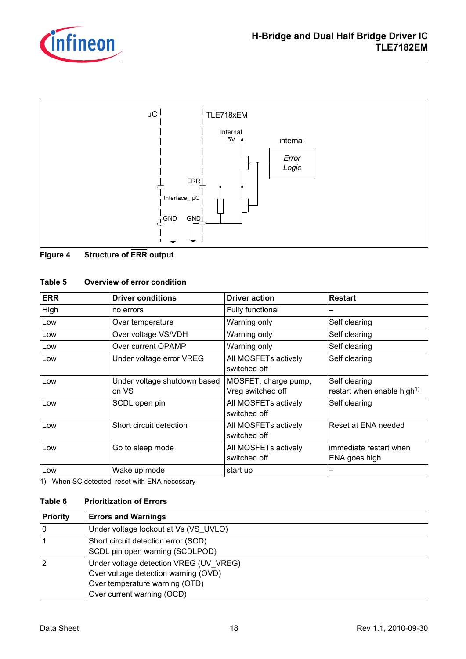



#### <span id="page-17-0"></span>**Figure 4 Structure of ERR output**

#### **Table 5 Overview of error condition**

| <b>ERR</b> | <b>Driver conditions</b>              | <b>Driver action</b>                      | <b>Restart</b>                                          |
|------------|---------------------------------------|-------------------------------------------|---------------------------------------------------------|
| High       | no errors                             | Fully functional                          |                                                         |
| Low        | Over temperature                      | Warning only                              | Self clearing                                           |
| Low        | Over voltage VS/VDH                   | Warning only                              | Self clearing                                           |
| Low        | Over current OPAMP                    | Warning only                              | Self clearing                                           |
| Low        | Under voltage error VREG              | All MOSFETs actively<br>switched off      | Self clearing                                           |
| Low        | Under voltage shutdown based<br>on VS | MOSFET, charge pump,<br>Vreg switched off | Self clearing<br>restart when enable high <sup>1)</sup> |
| Low        | SCDL open pin                         | All MOSFETs actively<br>switched off      | Self clearing                                           |
| Low        | Short circuit detection               | All MOSFETs actively<br>switched off      | Reset at ENA needed                                     |
| Low        | Go to sleep mode                      | All MOSFETs actively<br>switched off      | immediate restart when<br>ENA goes high                 |
| Low        | Wake up mode                          | start up                                  |                                                         |

1) When SC detected, reset with ENA necessary

#### **Table 6 Prioritization of Errors**

| <b>Priority</b> | <b>Errors and Warnings</b>                                                                                                                     |
|-----------------|------------------------------------------------------------------------------------------------------------------------------------------------|
|                 | Under voltage lockout at Vs (VS UVLO)                                                                                                          |
|                 | Short circuit detection error (SCD)<br>SCDL pin open warning (SCDLPOD)                                                                         |
|                 | Under voltage detection VREG (UV VREG)<br>Over voltage detection warning (OVD)<br>Over temperature warning (OTD)<br>Over current warning (OCD) |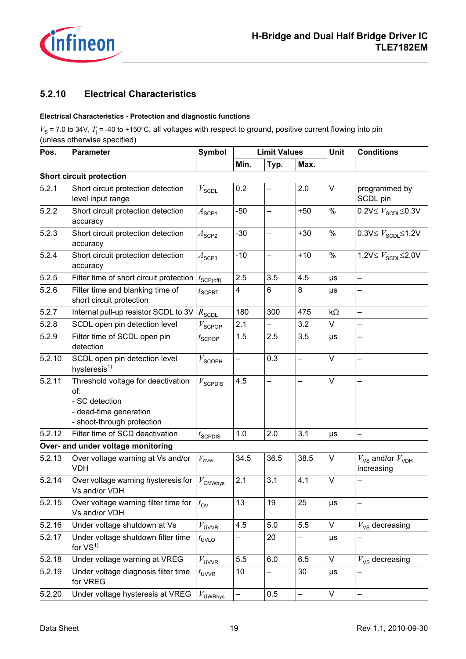

## <span id="page-18-0"></span>**5.2.10 Electrical Characteristics**

#### **Electrical Characteristics - Protection and diagnostic functions**

 $V_s$  = 7.0 to 34V,  $T_i$  = -40 to +150°C, all voltages with respect to ground, positive current flowing into pin (unless otherwise specified)

| Pos.   | <b>Symbol</b><br><b>Limit Values</b><br><b>Parameter</b>                                                            |                       |       | Unit                     | <b>Conditions</b> |           |                                                       |  |
|--------|---------------------------------------------------------------------------------------------------------------------|-----------------------|-------|--------------------------|-------------------|-----------|-------------------------------------------------------|--|
|        |                                                                                                                     |                       | Min.  | Typ.                     | Max.              |           |                                                       |  |
|        | <b>Short circuit protection</b>                                                                                     |                       |       |                          |                   |           |                                                       |  |
| 5.2.1  | Short circuit protection detection<br>level input range                                                             | $V_{\text{SCDL}}$     | 0.2   |                          | 2.0               | V         | programmed by<br>SCDL pin                             |  |
| 5.2.2  | Short circuit protection detection<br>accuracy                                                                      | $A_{\mathsf{SCP1}}$   | $-50$ | $\overline{\phantom{0}}$ | $+50$             | $\%$      | $0.2V \leq V_{\text{SCDL}} \leq 0.3V$                 |  |
| 5.2.3  | Short circuit protection detection<br>accuracy                                                                      | $A$ <sub>SCP2</sub>   | $-30$ |                          | $+30$             | $\%$      | $0.3V \leq V_{\text{SCDL}} \leq 1.2V$                 |  |
| 5.2.4  | Short circuit protection detection<br>accuracy                                                                      | $A$ <sub>SCP3</sub>   | $-10$ | $\overline{\phantom{0}}$ | $+10$             | $\%$      | 1.2V $\leq V_{\text{SCDL}}$ $\leq$ 2.0V               |  |
| 5.2.5  | Filter time of short circuit protection                                                                             | $t_{\text{SCP(off)}}$ | 2.5   | 3.5                      | 4.5               | $\mu s$   | $\overline{\phantom{0}}$                              |  |
| 5.2.6  | Filter time and blanking time of<br>short circuit protection                                                        | $t_{\text{SCPBT}}$    | 4     | 6                        | 8                 | $\mu s$   |                                                       |  |
| 5.2.7  | Internal pull-up resistor SCDL to 3V                                                                                | $R_{\rm SCDL}$        | 180   | 300                      | 475               | $k\Omega$ | $\overline{\phantom{0}}$                              |  |
| 5.2.8  | SCDL open pin detection level                                                                                       | $V_{\text{SCPOP}}$    | 2.1   | —                        | 3.2               | V         | $\overline{\phantom{0}}$                              |  |
| 5.2.9  | Filter time of SCDL open pin<br>detection                                                                           |                       | 1.5   | 2.5                      | 3.5               | $\mu s$   |                                                       |  |
| 5.2.10 | SCDL open pin detection level<br>hysteresis <sup>1)</sup>                                                           |                       |       | 0.3                      |                   | V         |                                                       |  |
| 5.2.11 | Threshold voltage for deactivation<br>of:<br>- SC detection<br>- dead-time generation<br>- shoot-through protection |                       | 4.5   | $\overline{\phantom{0}}$ | —                 | V         | —                                                     |  |
| 5.2.12 | Filter time of SCD deactivation                                                                                     | $t_{\text{SCPDIS}}$   | 1.0   | 2.0                      | 3.1               | μs        |                                                       |  |
|        | Over- and under voltage monitoring                                                                                  |                       |       |                          |                   |           |                                                       |  |
| 5.2.13 | Over voltage warning at Vs and/or<br><b>VDH</b>                                                                     | $V_{\text{ow}}$       | 34.5  | 36.5                     | 38.5              | V         | $V_{\text{VS}}$ and/or $V_{\text{VDH}}$<br>increasing |  |
| 5.2.14 | Over voltage warning hysteresis for<br>Vs and/or VDH                                                                | $V_{\rm OVWhys}$      | 2.1   | 3.1                      | 4.1               | V         |                                                       |  |
| 5.2.15 | Over voltage warning filter time for<br>Vs and/or VDH                                                               | $t_{\rm OV}$          | 13    | 19                       | 25                | μs        |                                                       |  |
| 5.2.16 | Under voltage shutdown at Vs                                                                                        | $V_{\text{UVVR}}$     | 4.5   | 5.0                      | 5.5               | V         | $V_{\text{VS}}$ decreasing                            |  |
| 5.2.17 | Under voltage shutdown filter time<br>for $VS1$                                                                     | $t_{\text{UVLO}}$     |       | 20                       |                   | μs        |                                                       |  |
| 5.2.18 | Under voltage warning at VREG                                                                                       | $V_{UVVR}$            | 5.5   | $6.0\,$                  | 6.5               | V         | $V_{\text{VS}}$ decreasing                            |  |
| 5.2.19 | Under voltage diagnosis filter time<br>for VREG                                                                     | $t_{\text{UVVR}}$     | 10    | -                        | 30                | $\mu s$   |                                                       |  |
| 5.2.20 | Under voltage hysteresis at VREG                                                                                    | $V_{\text{UWRhys}}$   | —     | 0.5                      | V<br>-            |           |                                                       |  |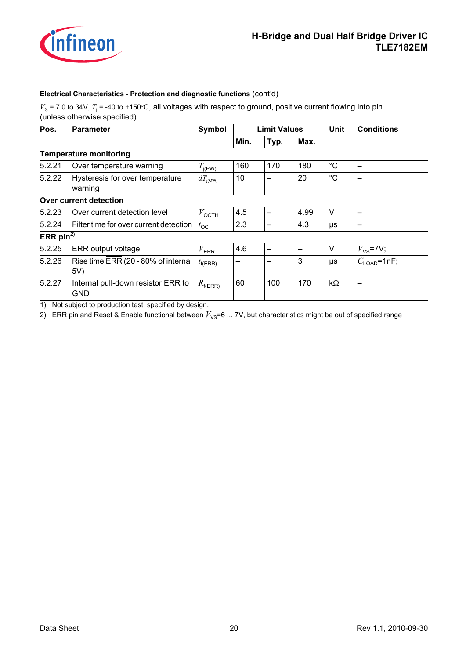

#### **Electrical Characteristics - Protection and diagnostic functions** (cont'd)

 $V_s$  = 7.0 to 34V,  $T_j$  = -40 to +150°C, all voltages with respect to ground, positive current flowing into pin (unless otherwise specified)

| Pos.                  | <b>Parameter</b>                                 | Symbol              |      | <b>Limit Values</b> |      |             | <b>Conditions</b>        |
|-----------------------|--------------------------------------------------|---------------------|------|---------------------|------|-------------|--------------------------|
|                       |                                                  |                     | Min. | Typ.                | Max. |             |                          |
|                       | <b>Temperature monitoring</b>                    |                     |      |                     |      |             |                          |
| 5.2.21                | Over temperature warning                         |                     | 160  | 170                 | 180  | $^{\circ}C$ |                          |
| 5.2.22                | Hysteresis for over temperature<br>warning       | $dT_{\text{i(OW)}}$ | 10   | -                   | 20   | $^{\circ}C$ |                          |
|                       | Over current detection                           |                     |      |                     |      |             |                          |
| 5.2.23                | Over current detection level                     | $V_{\text{OCTH}}$   | 4.5  | —                   | 4.99 | V           |                          |
| 5.2.24                | Filter time for over current detection           | $t_{\rm OC}$        | 2.3  | -                   | 4.3  | μs          | $\overline{\phantom{0}}$ |
| ERR pin <sup>2)</sup> |                                                  |                     |      |                     |      |             |                          |
| 5.2.25                | ERR output voltage                               | $V_{\text{ERR}}$    | 4.6  | —                   |      | $\vee$      | $V_{\text{VS}}$ =7V;     |
| 5.2.26                | Rise time ERR (20 - 80% of internal<br>5V)       | $t_{\text{f(ERR)}}$ |      |                     | 3    | μs          | $C_{\text{LOAD}}$ =1nF;  |
| 5.2.27                | Internal pull-down resistor ERR to<br><b>GND</b> | $R_{\text{f(ERR)}}$ | 60   | 100                 | 170  | $k\Omega$   |                          |

<span id="page-19-0"></span>1) Not subject to production test, specified by design.

2) ERR pin and Reset & Enable functional between  $V_{\text{VS}}=6$  ... 7V, but characteristics might be out of specified range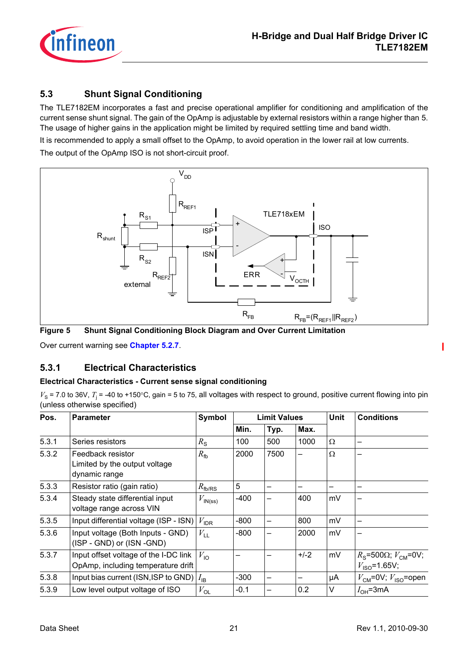

## <span id="page-20-0"></span>**5.3 Shunt Signal Conditioning**

The TLE7182EM incorporates a fast and precise operational amplifier for conditioning and amplification of the current sense shunt signal. The gain of the OpAmp is adjustable by external resistors within a range higher than 5. The usage of higher gains in the application might be limited by required settling time and band width.

It is recommended to apply a small offset to the OpAmp, to avoid operation in the lower rail at low currents. The output of the OpAmp ISO is not short-circuit proof.



**Figure 5 Shunt Signal Conditioning Block Diagram and Over Current Limitation**

Over current warning see **[Chapter 5.2.7](#page-16-5)**.

## <span id="page-20-1"></span>**5.3.1 Electrical Characteristics**

#### **Electrical Characteristics - Current sense signal conditioning**

 $V_s$  = 7.0 to 36V,  $T_i$  = -40 to +150°C, gain = 5 to 75, all voltages with respect to ground, positive current flowing into pin (unless otherwise specified)

| Pos.  | <b>Parameter</b>                                                            | Symbol              |        | <b>Limit Values</b> |        | <b>Unit</b> | <b>Conditions</b>                                                                |  |
|-------|-----------------------------------------------------------------------------|---------------------|--------|---------------------|--------|-------------|----------------------------------------------------------------------------------|--|
|       |                                                                             |                     | Min.   | Typ.                | Max.   |             |                                                                                  |  |
| 5.3.1 | Series resistors                                                            | $R_{\rm S}$         | 100    | 500                 | 1000   | Ω           |                                                                                  |  |
| 5.3.2 | Feedback resistor<br>Limited by the output voltage<br>dynamic range         | $R_{\text{fb}}$     | 2000   | 7500                | —      | Ω           |                                                                                  |  |
| 5.3.3 | Resistor ratio (gain ratio)<br>$R_{\text{fb/RS}}$                           |                     | 5      |                     | -      | –           |                                                                                  |  |
| 5.3.4 | Steady state differential input<br>voltage range across VIN                 | $V_{\text{IN}(ss)}$ | $-400$ | -                   | 400    | mV          | -                                                                                |  |
| 5.3.5 | Input differential voltage (ISP - ISN)                                      | $V_{\text{IDR}}$    | $-800$ | -                   | 800    | mV          |                                                                                  |  |
| 5.3.6 | Input voltage (Both Inputs - GND)<br>(ISP - GND) or (ISN -GND)              | $V_{\text{LL}}$     | $-800$ |                     | 2000   | mV          |                                                                                  |  |
| 5.3.7 | Input offset voltage of the I-DC link<br>OpAmp, including temperature drift | $V_{\text{IO}}$     |        |                     | $+/-2$ | mV          | $R$ <sub>S</sub> =500 $\Omega$ ; $V$ <sub>CM</sub> =0V;<br>$V_{\rm ISO}$ =1.65V; |  |
| 5.3.8 | Input bias current (ISN, ISP to GND)                                        | $I_{IB}$            | $-300$ |                     |        | μA          | $V_{\text{CM}}$ =0V; $V_{\text{ISO}}$ =open                                      |  |
| 5.3.9 | Low level output voltage of ISO                                             | $V_{\text{OL}}$     | $-0.1$ |                     | 0.2    | V           | $I_{OH}$ =3mA                                                                    |  |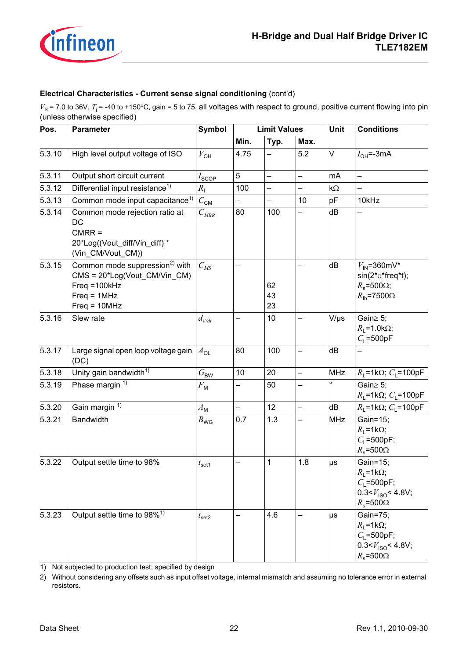

#### **Electrical Characteristics - Current sense signal conditioning** (cont'd)

 $V_s$  = 7.0 to 36V,  $T_j$  = -40 to +150°C, gain = 5 to 75, all voltages with respect to ground, positive current flowing into pin (unless otherwise specified)

| Pos.                                                                                                                                       | <b>Symbol</b><br><b>Limit Values</b><br>Parameter                                                      |                   |                          | <b>Unit</b>    | <b>Conditions</b>        |            |                                                                                                                        |  |
|--------------------------------------------------------------------------------------------------------------------------------------------|--------------------------------------------------------------------------------------------------------|-------------------|--------------------------|----------------|--------------------------|------------|------------------------------------------------------------------------------------------------------------------------|--|
|                                                                                                                                            |                                                                                                        |                   | Min.                     | Typ.<br>Max.   |                          |            |                                                                                                                        |  |
| 5.3.10                                                                                                                                     | High level output voltage of ISO                                                                       | $V_{\text{OH}}$   | 4.75                     |                | 5.2                      | V          | $I_{OH}$ =-3mA                                                                                                         |  |
| 5.3.11                                                                                                                                     | Output short circuit current                                                                           | $I_{\text{SCOP}}$ | 5                        | -              | $\qquad \qquad -$        | mA         | $\equiv$                                                                                                               |  |
| 5.3.12                                                                                                                                     | Differential input resistance <sup>1)</sup>                                                            | $R_{\rm I}$       | 100                      |                |                          | $k\Omega$  |                                                                                                                        |  |
| 5.3.13                                                                                                                                     | Common mode input capacitance <sup>1)</sup>                                                            | $C_{\text{CM}}$   |                          |                | 10                       | pF         | 10kHz                                                                                                                  |  |
| 5.3.14                                                                                                                                     | Common mode rejection ratio at<br>DC<br>$CMRR =$<br>20*Log((Vout_diff/Vin_diff) *<br>(Vin_CM/Vout_CM)) |                   | 80                       | 100            |                          | dB         |                                                                                                                        |  |
| Common mode suppression <sup>2)</sup> with<br>5.3.15<br>CMS = 20*Log(Vout_CM/Vin_CM)<br>$Freq = 100kHz$<br>$Freq = 1MHz$<br>$Freq = 10MHz$ |                                                                                                        | $C_{MS}$          |                          | 62<br>43<br>23 |                          | dB         | $V_{\text{IN}}$ =360mV*<br>$sin(2*π*freq*t);$<br>$R_s$ =500 $\Omega$ ;<br>$R_{\text{fb}}$ =7500 $\Omega$               |  |
| 5.3.16                                                                                                                                     | Slew rate                                                                                              | $d_{V/dt}$        |                          | 10             |                          | $V/\mu s$  | Gain $\geq$ 5;<br>$R_1 = 1.0 \text{k}\Omega$ ;<br>$C_1 = 500pF$                                                        |  |
| 5.3.17                                                                                                                                     | Large signal open loop voltage gain<br>(DC)                                                            | $A_{\text{OL}}$   | 80                       | 100            | $\overline{\phantom{0}}$ | dB         |                                                                                                                        |  |
| 5.3.18                                                                                                                                     | Unity gain bandwidth <sup>1)</sup>                                                                     | $G_{\sf BW}$      | 10                       | 20             | —                        | <b>MHz</b> | $R_1 = 1k\Omega$ ; C <sub>1</sub> =100pF                                                                               |  |
| 5.3.19                                                                                                                                     | Phase margin $\frac{1}{1}$                                                                             | $F_{\rm M}$       | —                        | 50             |                          | $\circ$    | Gain $\geq$ 5;<br>$R_{L}$ =1k $\Omega$ ; C <sub>L</sub> =100pF                                                         |  |
| 5.3.20                                                                                                                                     | Gain margin <sup>1)</sup>                                                                              | $A_{\mathsf{M}}$  | $\overline{\phantom{0}}$ | 12             | $\overline{\phantom{0}}$ | dB         | $R_1 = 1 \text{k}\Omega$ ; C <sub>1</sub> =100pF                                                                       |  |
| 5.3.21                                                                                                                                     | <b>Bandwidth</b>                                                                                       | $B_{\text{WG}}$   | 0.7                      | 1.3            |                          | <b>MHz</b> | Gain=15;<br>$R_1 = 1 \text{k}\Omega$ ;<br>$C_1 = 500pF;$<br>$R_s = 500\Omega$                                          |  |
| 5.3.22                                                                                                                                     | Output settle time to 98%                                                                              | $t_{\sf set1}$    |                          | 1              | 1.8                      | $\mu s$    | Gain=15;<br>$R_{L}$ =1k $\Omega$ ;<br>$C_1 = 500pF;$<br>0.3< $V_{\text{ISO}}$ < 4.8V;<br>$R_{\rm s}$ =500 $\Omega$     |  |
| 5.3.23                                                                                                                                     | Output settle time to 98% <sup>1)</sup>                                                                | $t_{\sf set2}$    |                          | 4.6            |                          | $\mu s$    | Gain=75;<br>$R_1 = 1 \text{k}\Omega$ ;<br>$C_1 = 500pF;$<br>0.3< $V_{\text{ISO}}$ < 4.8V;<br>$R_{\rm s}$ =500 $\Omega$ |  |

<span id="page-21-0"></span>1) Not subjected to production test; specified by design

2) Without considering any offsets such as input offset voltage, internal mismatch and assuming no tolerance error in external resistors.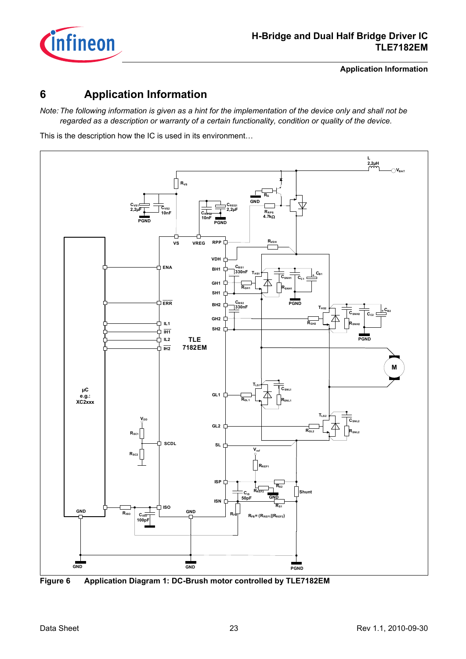

**Application Information**

## <span id="page-22-0"></span>**6 Application Information**

*Note: The following information is given as a hint for the implementation of the device only and shall not be regarded as a description or warranty of a certain functionality, condition or quality of the device.*

This is the description how the IC is used in its environment…



**Figure 6 Application Diagram 1: DC-Brush motor controlled by TLE7182EM**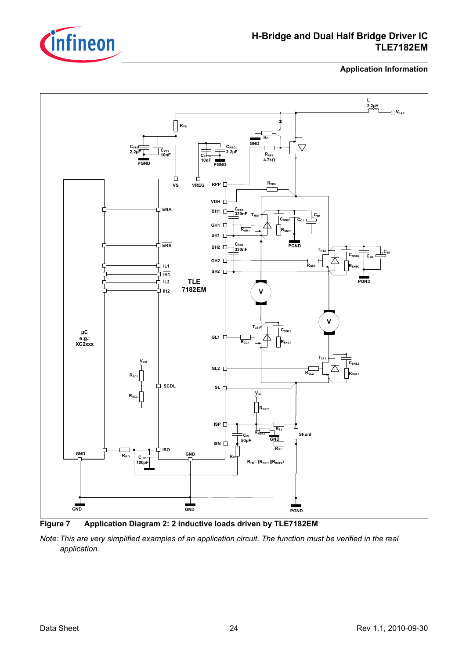

## **H-Bridge and Dual Half Bridge Driver IC TLE7182EM**

**Application Information**



<span id="page-23-0"></span>**Figure 7 Application Diagram 2: 2 inductive loads driven by TLE7182EM**

*Note: This are very simplified examples of an application circuit. The function must be verified in the real application.*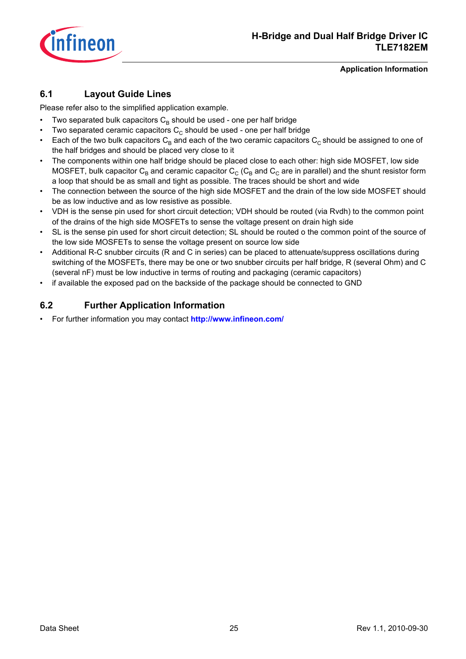

#### **Application Information**

## <span id="page-24-0"></span>**6.1 Layout Guide Lines**

Please refer also to the simplified application example.

- Two separated bulk capacitors  $C_B$  should be used one per half bridge
- Two separated ceramic capacitors  $C_c$  should be used one per half bridge
- Each of the two bulk capacitors  $C_B$  and each of the two ceramic capacitors  $C_C$  should be assigned to one of the half bridges and should be placed very close to it
- The components within one half bridge should be placed close to each other: high side MOSFET, low side MOSFET, bulk capacitor  $C_B$  and ceramic capacitor  $C_C$  ( $C_B$  and  $C_C$  are in parallel) and the shunt resistor form a loop that should be as small and tight as possible. The traces should be short and wide
- The connection between the source of the high side MOSFET and the drain of the low side MOSFET should be as low inductive and as low resistive as possible.
- VDH is the sense pin used for short circuit detection; VDH should be routed (via Rvdh) to the common point of the drains of the high side MOSFETs to sense the voltage present on drain high side
- SL is the sense pin used for short circuit detection; SL should be routed o the common point of the source of the low side MOSFETs to sense the voltage present on source low side
- Additional R-C snubber circuits (R and C in series) can be placed to attenuate/suppress oscillations during switching of the MOSFETs, there may be one or two snubber circuits per half bridge, R (several Ohm) and C (several nF) must be low inductive in terms of routing and packaging (ceramic capacitors)
- if available the exposed pad on the backside of the package should be connected to GND

## <span id="page-24-1"></span>**6.2 Further Application Information**

• For further information you may contact **<http://www.infineon.com/>**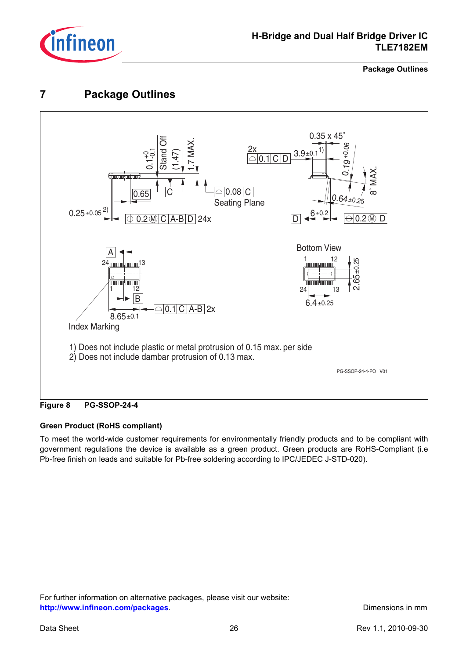

## **H-Bridge and Dual Half Bridge Driver IC TLE7182EM**

**Package Outlines**

## <span id="page-25-0"></span>**7 Package Outlines**



**Figure 8 PG-SSOP-24-4**

#### **Green Product (RoHS compliant)**

To meet the world-wide customer requirements for environmentally friendly products and to be compliant with government regulations the device is available as a green product. Green products are RoHS-Compliant (i.e Pb-free finish on leads and suitable for Pb-free soldering according to IPC/JEDEC J-STD-020).

For further information on alternative packages, please visit our website: **[http://www.infineon.com/packages](http://www.infineon.com/packages/)**. **Dimensions in mm**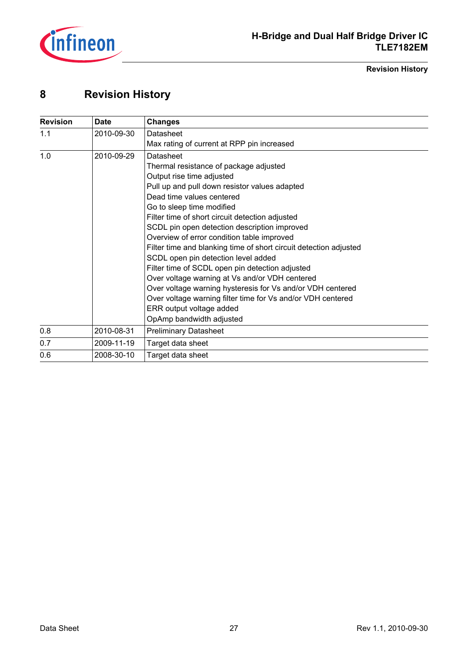

**Revision History**

## <span id="page-26-0"></span>**8 Revision History**

| <b>Revision</b> | <b>Date</b> | <b>Changes</b>                                                    |
|-----------------|-------------|-------------------------------------------------------------------|
| 1.1             | 2010-09-30  | Datasheet                                                         |
|                 |             | Max rating of current at RPP pin increased                        |
| 1.0             | 2010-09-29  | Datasheet                                                         |
|                 |             | Thermal resistance of package adjusted                            |
|                 |             | Output rise time adjusted                                         |
|                 |             | Pull up and pull down resistor values adapted                     |
|                 |             | Dead time values centered                                         |
|                 |             | Go to sleep time modified                                         |
|                 |             | Filter time of short circuit detection adjusted                   |
|                 |             | SCDL pin open detection description improved                      |
|                 |             | Overview of error condition table improved                        |
|                 |             | Filter time and blanking time of short circuit detection adjusted |
|                 |             | SCDL open pin detection level added                               |
|                 |             | Filter time of SCDL open pin detection adjusted                   |
|                 |             | Over voltage warning at Vs and/or VDH centered                    |
|                 |             | Over voltage warning hysteresis for Vs and/or VDH centered        |
|                 |             | Over voltage warning filter time for Vs and/or VDH centered       |
|                 |             | ERR output voltage added                                          |
|                 |             | OpAmp bandwidth adjusted                                          |
| 0.8             | 2010-08-31  | <b>Preliminary Datasheet</b>                                      |
| 0.7             | 2009-11-19  | Target data sheet                                                 |
| 0.6             | 2008-30-10  | Target data sheet                                                 |